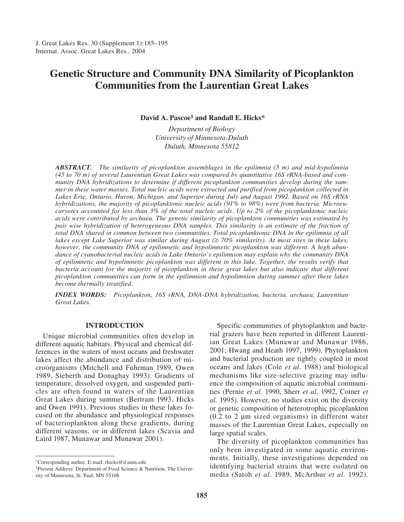# **Genetic Structure and Community DNA Similarity of Picoplankton Communities from the Laurentian Great Lakes**

**David A. Pascoe1 and Randall E. Hicks\*** 

*Department of Biology University of Minnesota-Duluth Duluth, Minnesota 55812*

*ABSTRACT. The similarity of picoplankton assemblages in the epilimnia (5 m) and mid-hypolimnia (45 to 70 m) of several Laurentian Great Lakes was compared by quantitative 16S rRNA-based and community DNA hybridizations to determine if different picoplankton communities develop during the summer in these water masses. Total nucleic acids were extracted and purified from picoplankton collected in Lakes Erie, Ontario, Huron, Michigan, and Superior during July and August 1992. Based on 16S rRNA hybridizations, the majority of picoplanktonic nucleic acids (91% to 98%) were from bacteria. Microeucaryotes accounted for less than 3% of the total nucleic acids. Up to 2% of the picoplanktonic nucleic acids were contributed by archaea. The genetic similarity of picoplankton communities was estimated by pair wise hybridization of heterogeneous DNA samples. This similarity is an estimate of the fraction of total DNA shared in common between two communities. Total picoplanktonic DNA in the epilimnia of all lakes except Lake Superior was similar during August (*≥ *70% similarity). At most sites in these lakes, however, the community DNA of epilimnetic and hypolimnetic picoplankton was different. A high abundance of cyanobacterial nucleic acids in Lake Ontario's epilimnion may explain why the community DNA of epilimnetic and hypolimnetic picoplankton was different in this lake. Together, the results verify that bacteria account for the majority of picoplankton in these great lakes but also indicate that different picoplankton communities can form in the epilimnion and hypolimnion during summer after these lakes become thermally stratified.*

*INDEX WORDS: Picoplankton, 16S rRNA, DNA-DNA hybridization, bacteria, archaea, Laurentian Great Lakes.*

# **INTRODUCTION**

Unique microbial communities often develop in different aquatic habitats. Physical and chemical differences in the waters of most oceans and freshwater lakes affect the abundance and distribution of microorganisms (Mitchell and Fuhrman 1989, Owen 1989, Sieberth and Donaghay 1993). Gradients of temperature, dissolved oxygen, and suspended particles are often found in waters of the Laurentian Great Lakes during summer (Bertram 1993, Hicks and Owen 1991). Previous studies in these lakes focused on the abundance and physiological responses of bacterioplankton along these gradients, during different seasons, or in different lakes (Scavia and Laird 1987, Munawar and Munawar 2001).

Specific communities of phytoplankton and bacterial grazers have been reported in different Laurentian Great Lakes (Munawar and Munawar 1986, 2001; Hwang and Heath 1997, 1999). Phytoplankton and bacterial production are tightly coupled in most oceans and lakes (Cole *et al*. 1988) and biological mechanisms like size-selective grazing may influence the composition of aquatic microbial communities (Pernie *et al.* 1990, Sherr *et al.* 1992, Cotner *et al.* 1995). However, no studies exist on the diversity or genetic composition of heterotrophic picoplankton (0.2 to 2 µm sized organisms) in different water masses of the Laurentian Great Lakes, especially on large spatial scales.

The diversity of picoplankton communities has only been investigated in some aquatic environments. Initially, these investigations depended on identifying bacterial strains that were isolated on media (Satoh *et al*. 1989, McArthur *et al*. 1992).

<sup>\*</sup>Corresponding author. E-mail: rhicks@d.umn.edu

<sup>1</sup>Present Address: Department of Food Science & Nutrition, The University of Minnesota, St. Paul, MN 55108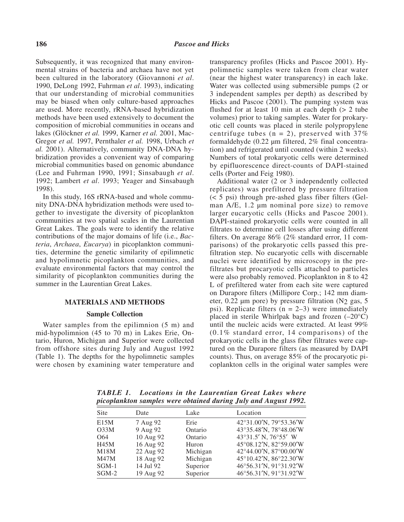Subsequently, it was recognized that many environmental strains of bacteria and archaea have not yet been cultured in the laboratory (Giovannoni *et al*. 1990, DeLong 1992, Fuhrman *et al*. 1993), indicating that our understanding of microbial communities may be biased when only culture-based approaches are used. More recently, rRNA-based hybridization methods have been used extensively to document the composition of microbial communities in oceans and lakes (Glöckner *et al.* 1999, Karner *et al.* 2001, Mac-Gregor *et al.* 1997, Pernthaler *et al.* 1998, Urbach *et al.* 2001). Alternatively, community DNA-DNA hybridization provides a convenient way of comparing microbial communities based on genomic abundance (Lee and Fuhrman 1990, 1991; Sinsabaugh *et al*. 1992; Lambert *et al*. 1993; Yeager and Sinsabaugh 1998).

In this study, 16S rRNA-based and whole community DNA-DNA hybridization methods were used together to investigate the diversity of picoplankton communities at two spatial scales in the Laurentian Great Lakes. The goals were to identify the relative contributions of the major domains of life (i.e., *Bacteria*, *Archaea*, *Eucarya*) in picoplankton communities, determine the genetic similarity of epilimnetic and hypolimnetic picoplankton communities, and evaluate environmental factors that may control the similarity of picoplankton communities during the summer in the Laurentian Great Lakes.

# **MATERIALS AND METHODS**

#### **Sample Collection**

Water samples from the epilimnion (5 m) and mid-hypolimnion (45 to 70 m) in Lakes Erie, Ontario, Huron, Michigan and Superior were collected from offshore sites during July and August 1992 (Table 1). The depths for the hypolimnetic samples were chosen by examining water temperature and

transparency profiles (Hicks and Pascoe 2001). Hypolimnetic samples were taken from clear water (near the highest water transparency) in each lake. Water was collected using submersible pumps (2 or 3 independent samples per depth) as described by Hicks and Pascoe (2001). The pumping system was flushed for at least 10 min at each depth  $(> 2$  tube volumes) prior to taking samples. Water for prokaryotic cell counts was placed in sterile polypropylene centrifuge tubes  $(n = 2)$ , preserved with 37% formaldehyde (0.22 µm filtered, 2% final concentration) and refrigerated until counted (within 2 weeks). Numbers of total prokaryotic cells were determined by epifluorescence direct-counts of DAPI-stained cells (Porter and Feig 1980).

Additional water (2 or 3 independently collected replicates) was prefiltered by pressure filtration (< 5 psi) through pre-ashed glass fiber filters (Gelman A/E, 1.2 µm nominal pore size) to remove larger eucaryotic cells (Hicks and Pascoe 2001). DAPI-stained prokaryotic cells were counted in all filtrates to determine cell losses after using different filters. On average 86% (2% standard error, 11 comparisons) of the prokaryotic cells passed this prefiltration step. No eucaryotic cells with discernable nuclei were identified by microscopy in the prefiltrates but procaryotic cells attached to particles were also probably removed. Picoplankton in 8 to 42 L of prefiltered water from each site were captured on Durapore filters (Millipore Corp.; 142 mm diameter,  $0.22$  µm pore) by pressure filtration (N<sub>2</sub> gas, 5) psi). Replicate filters  $(n = 2-3)$  were immediately placed in sterile Whirlpak bags and frozen  $(-20^{\circ}C)$ until the nucleic acids were extracted. At least 99% (0.1% standard error, 14 comparisons) of the prokaryotic cells in the glass fiber filtrates were captured on the Durapore filters (as measured by DAPI counts). Thus, on average 85% of the procaryotic picoplankton cells in the original water samples were

*TABLE 1. Locations in the Laurentian Great Lakes where picoplankton samples were obtained during July and August 1992.* 

| <b>Site</b>     | Date      | Lake     | Location               |
|-----------------|-----------|----------|------------------------|
| E15M            | 7 Aug 92  | Erie     | 42°31.00'N, 79°53.36'W |
| O33M            | 9 Aug 92  | Ontario  | 43°35.48'N, 78°48.06'W |
| O <sub>64</sub> | 10 Aug 92 | Ontario  | 43°31.5' N, 76°55' W   |
| <b>H45M</b>     | 16 Aug 92 | Huron    | 45°08.12'N, 82°59.00'W |
| M18M            | 22 Aug 92 | Michigan | 42°44.00'N, 87°00.00'W |
| M47M            | 18 Aug 92 | Michigan | 45°10.42'N, 86°22.30'W |
| $SGM-1$         | 14 Jul 92 | Superior | 46°56.31'N, 91°31.92'W |
| $SGM-2$         | 19 Aug 92 | Superior | 46°56.31'N, 91°31.92'W |
|                 |           |          |                        |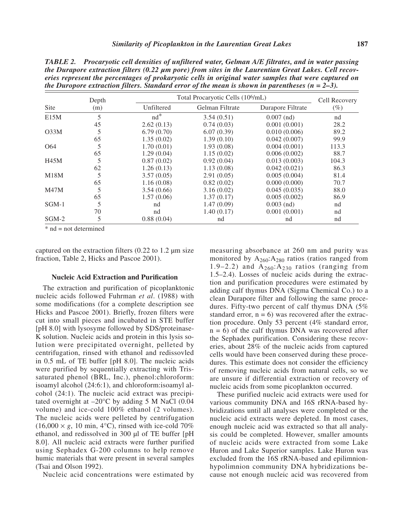*TABLE 2. Procaryotic cell densities of unfiltered water, Gelman A/E filtrates, and in water passing the Durapore extraction filters (0.22 µm pore) from sites in the Laurentian Great Lakes. Cell recoveries represent the percentages of prokaryotic cells in original water samples that were captured on the Duropore extraction filters. Standard error of the mean is shown in parentheses (n = 2–3).* 

|                 | Depth |            | Total Procaryotic Cells (10 <sup>6</sup> /mL) |                   |                         |  |  |  |  |
|-----------------|-------|------------|-----------------------------------------------|-------------------|-------------------------|--|--|--|--|
| <b>Site</b>     | (m)   | Unfiltered | Gelman Filtrate                               | Durapore Filtrate | Cell Recovery<br>$(\%)$ |  |  |  |  |
| E15M            | 5     | $nd^*$     | 3.54(0.51)                                    | $0.007$ (nd)      | nd                      |  |  |  |  |
|                 | 45    | 2.62(0.13) | 0.74(0.03)                                    | 0.001(0.001)      | 28.2                    |  |  |  |  |
| O33M            | 5     | 6.79(0.70) | 6.07(0.39)                                    | 0.010(0.006)      | 89.2                    |  |  |  |  |
|                 | 65    | 1.35(0.02) | 1.39(0.10)                                    | 0.042(0.007)      | 99.9                    |  |  |  |  |
| O <sub>64</sub> | 5     | 1.70(0.01) | 1.93(0.08)                                    | 0.004(0.001)      | 113.3                   |  |  |  |  |
|                 | 65    | 1.29(0.04) | 1.15(0.02)                                    | 0.006(0.002)      | 88.7                    |  |  |  |  |
| H45M            | 5     | 0.87(0.02) | 0.92(0.04)                                    | 0.013(0.003)      | 104.3                   |  |  |  |  |
|                 | 62    | 1.26(0.13) | 1.13(0.08)                                    | 0.042(0.021)      | 86.3                    |  |  |  |  |
| M18M            | 5     | 3.57(0.05) | 2.91(0.05)                                    | 0.005(0.004)      | 81.4                    |  |  |  |  |
|                 | 65    | 1.16(0.08) | 0.82(0.02)                                    | 0.000(0.000)      | 70.7                    |  |  |  |  |
| M47M            | 5     | 3.54(0.66) | 3.16(0.02)                                    | 0.045(0.035)      | 88.0                    |  |  |  |  |
|                 | 65    | 1.57(0.06) | 1.37(0.17)                                    | 0.005(0.002)      | 86.9                    |  |  |  |  |
| $SGM-1$         |       | nd         | 1.47(0.09)                                    | $0.003$ (nd)      | nd                      |  |  |  |  |
|                 | 70    | nd         | 1.40(0.17)                                    | 0.001(0.001)      | nd                      |  |  |  |  |
| $SGM-2$         | 5     | 0.88(0.04) | nd                                            | nd                | nd                      |  |  |  |  |

\* nd = not determined

captured on the extraction filters  $(0.22 \text{ to } 1.2 \mu \text{m size})$ fraction, Table 2, Hicks and Pascoe 2001).

#### **Nucleic Acid Extraction and Purification**

The extraction and purification of picoplanktonic nucleic acids followed Fuhrman *et al*. (1988) with some modifications (for a complete description see Hicks and Pascoe 2001). Briefly, frozen filters were cut into small pieces and incubated in STE buffer [pH 8.0] with lysosyme followed by SDS/proteinase-K solution. Nucleic acids and protein in this lysis solution were precipitated overnight, pelleted by centrifugation, rinsed with ethanol and redissovled in 0.5 mL of TE buffer [pH 8.0]. The nucleic acids were purified by sequentially extracting with Trissaturated phenol (BRL, Inc.), phenol:chloroform: isoamyl alcohol (24:6:1), and chloroform:isoamyl alcohol (24:1). The nucleic acid extract was precipitated overnight at  $-20^{\circ}$ C by adding 5 M NaCl (0.04) volume) and ice-cold 100% ethanol (2 volumes). The nucleic acids were pelleted by centrifugation  $(16,000 \times g, 10 \text{ min}, 4^{\circ}\text{C})$ , rinsed with ice-cold 70% ethanol, and redissolved in 300 µl of TE buffer [pH 8.0]. All nucleic acid extracts were further purified using Sephadex G-200 columns to help remove humic materials that were present in several samples (Tsai and Olson 1992).

Nucleic acid concentrations were estimated by

measuring absorbance at 260 nm and purity was monitored by  $A_{260}$ :  $A_{280}$  ratios (ratios ranged from 1.9–2.2) and  $A_{260}$ : $A_{230}$  ratios (ranging from 1.5–2.4). Losses of nucleic acids during the extraction and purification procedures were estimated by adding calf thymus DNA (Sigma Chemical Co.) to a clean Durapore filter and following the same procedures. Fifty-two percent of calf thymus DNA (5% standard error,  $n = 6$ ) was recovered after the extraction procedure. Only 53 percent (4% standard error,  $n = 6$ ) of the calf thymus DNA was recovered after the Sephadex purification. Considering these recoveries, about 28% of the nucleic acids from captured cells would have been conserved during these procedures. This estimate does not consider the efficiency of removing nucleic acids from natural cells, so we are unsure if differential extraction or recovery of nucleic acids from some picoplankton occurred.

These purified nucleic acid extracts were used for various community DNA and 16S rRNA-based hybridizations until all analyses were completed or the nucleic acid extracts were depleted. In most cases, enough nucleic acid was extracted so that all analysis could be completed. However, smaller amounts of nucleic acids were extracted from some Lake Huron and Lake Superior samples. Lake Huron was excluded from the 16S rRNA-based and epilimnionhypolimnion community DNA hybridizations because not enough nucleic acid was recovered from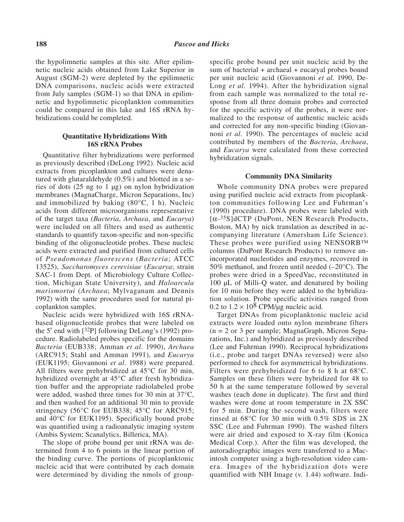the hypolimnetic samples at this site. After epilimnetic nucleic acids obtained from Lake Superior in August (SGM-2) were depleted by the epilimnetic DNA comparisons, nucleic acids were extracted from July samples (SGM-1) so that DNA in epilimnetic and hypolimnetic picoplankton communities could be compared in this lake and 16S rRNA hybridizations could be completed.

# **Quantitative Hybridizations With 16S rRNA Probes**

Quantitative filter hybridizations were performed as previously described (DeLong 1992). Nucleic acid extracts from picoplankton and cultures were denatured with glutaraldehyde (0.5%) and blotted in a series of dots (25 ng to 1 µg) on nylon hybridization membranes (MagnaCharge, Micron Separations, Inc) and immobilized by baking  $(80^{\circ}C, 1 h)$ . Nucleic acids from different microorganisms representative of the target taxa (*Bacteria*, *Archaea*, and *Eucarya*) were included on all filters and used as authentic standards to quantify taxon-specific and non-specific binding of the oligonucleotide probes. These nucleic acids were extracted and purified from cultured cells of *Pseudomonas fluorescens* (*Bacteria*; ATCC 13525), *Saccharomyces cerevisiae* (*Eucarya*; strain SAC-1 from Dept. of Microbiology Culture Collection, Michigan State University), and *Haloarcula marismortui* (*Archaea*; Mylvaganam and Dennis 1992) with the same procedures used for natural picoplankton samples.

Nucleic acids were hybridized with 16S rRNAbased oligonucleotide probes that were labeled on the 5′ end with [32P] following DeLong's (1992) procedure. Radiolabeled probes specific for the domains *Bacteria* (EUB338; Amman *et al*. 1990), *Archaea* (ARC915; Stahl and Amman 1991), and *Eucarya* (EUK1195; Giovannoni *et al*. 1988) were prepared. All filters were prehybridized at 45°C for 30 min, hybridized overnight at 45°C after fresh hybridization buffer and the appropriate radiolabeled probe were added, washed three times for 30 min at 37°C, and then washed for an additional 30 min to provide stringency (56°C for EUB338; 45°C for ARC915; and 40°C for EUK1195). Specifically bound probe was quantified using a radioanalytic imaging system (Ambis System; Scanalytics, Billerica, MA).

The slope of probe bound per unit rRNA was determined from 4 to 6 points in the linear portion of the binding curve. The portions of picoplanktonic nucleic acid that were contributed by each domain were determined by dividing the nmols of group-

specific probe bound per unit nucleic acid by the sum of bacterial + archaeal + eucaryal probes bound per unit nucleic acid (Giovannoni *et al.* 1990, De-Long *et al.* 1994). After the hybridization signal from each sample was normalized to the total response from all three domain probes and corrected for the specific activity of the probes, it were normalized to the response of authentic nucleic acids and corrected for any non-specific binding (Giovannoni *et al.* 1990). The percentages of nucleic acid contributed by members of the *Bacteria*, *Archaea*, and *Eucarya* were calculated from these corrected hybridization signals.

#### **Community DNA Similarity**

Whole community DNA probes were prepared using purified nucleic acid extracts from picoplankton communities following Lee and Fuhrman's (1990) procedure). DNA probes were labeled with [α-35S]dCTP (DuPont, NEN Research Products, Boston, MA) by nick translation as described in accompanying literature (Amersham Life Science). These probes were purified using NENSORB™ columns (DuPont Research Products) to remove unincorporated nucleotides and enzymes, recovered in 50% methanol, and frozen until needed  $(-20^{\circ}C)$ . The probes were dried in a SpeedVac, reconstituted in 100 µL of Milli-Q water, and denatured by boiling for 10 min before they were added to the hybridization solution. Probe specific activities ranged from 0.2 to  $1.2 \times 10^8$  CPM/µg nucleic acid.

Target DNAs from picoplanktonic nucleic acid extracts were loaded onto nylon membrane filters (n = 2 or 3 per sample; MagnaGraph, Micron Separations, Inc.) and hybridized as previously described (Lee and Fuhrman 1990). Reciprocal hybridizations (i.e., probe and target DNAs reversed) were also performed to check for asymmetrical hybridizations. Filters were prehybridized for 6 to 8 h at 68°C. Samples on these filters were hybridized for 48 to 50 h at the same temperature followed by several washes (each done in duplicate). The first and third washes were done at room temperature in 2X SSC for 5 min. During the second wash, filters were rinsed at 68°C for 30 min with 0.5% SDS in 2X SSC (Lee and Fuhrman 1990). The washed filters were air dried and exposed to X-ray film (Konica Medical Corp.). After the film was developed, the autoradiographic images were transferred to a Macintosh computer using a high-resolution video camera. Images of the hybridization dots were quantified with NIH Image (v. 1.44) software. Indi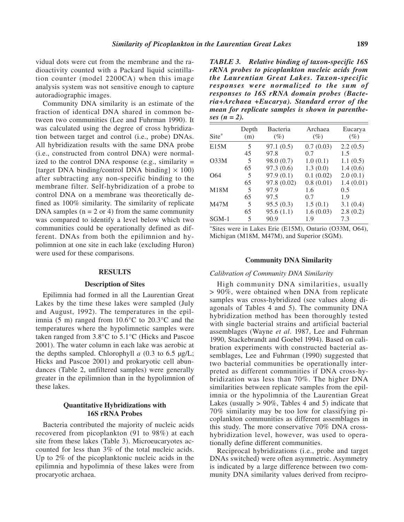vidual dots were cut from the membrane and the radioactivity counted with a Packard liquid scintillation counter (model 2200CA) when this image analysis system was not sensitive enough to capture autoradiographic images.

Community DNA similarity is an estimate of the fraction of identical DNA shared in common between two communities (Lee and Fuhrman 1990). It was calculated using the degree of cross hybridization between target and control (i.e., probe) DNAs. All hybridization results with the same DNA probe (i.e., constructed from control DNA) were normalized to the control DNA response (e.g., similarity  $=$ [target DNA binding/control DNA binding]  $\times$  100) after subtracting any non-specific binding to the membrane filter. Self-hybridization of a probe to control DNA on a membrane was theoretically defined as 100% similarity. The similarity of replicate DNA samples  $(n = 2 \text{ or } 4)$  from the same community was compared to identify a level below which two communities could be operationally defined as different. DNAs from both the epilimnion and hypolimnion at one site in each lake (excluding Huron) were used for these comparisons.

# **RESULTS**

#### **Description of Sites**

Epilimnia had formed in all the Laurentian Great Lakes by the time these lakes were sampled (July and August, 1992). The temperatures in the epilimnia (5 m) ranged from 10.6°C to 20.3°C and the temperatures where the hypolimnetic samples were taken ranged from 3.8°C to 5.1°C (Hicks and Pascoe 2001). The water column in each lake was aerobic at the depths sampled. Chlorophyll  $a$  (0.3 to 6.5  $\mu$ g/L; Hicks and Pascoe 2001) and prokaryotic cell abundances (Table 2, unfiltered samples) were generally greater in the epilimnion than in the hypolimnion of these lakes.

# **Quantitative Hybridizations with 16S rRNA Probes**

Bacteria contributed the majority of nucleic acids recovered from picoplankton (91 to 98%) at each site from these lakes (Table 3). Microeucaryotes accounted for less than 3% of the total nucleic acids. Up to 2% of the picoplanktonic nucleic acids in the epilimnia and hypolimnia of these lakes were from procaryotic archaea.

*TABLE 3. Relative binding of taxon-specific 16S rRNA probes to picoplankton nucleic acids from the Laurentian Great Lakes. Taxon-specific responses were normalized to the sum of responses to 16S rRNA domain probes (Bacteria+Archaea +Eucarya). Standard error of the mean for replicate samples is shown in parentheses (n = 2).*

| $\text{Site}^*$ | Depth<br>(m) | Bacteria<br>$(\%)$ | Archaea<br>(%) | Eucarya<br>$(\%)$ |
|-----------------|--------------|--------------------|----------------|-------------------|
| E15M            | 5            | 97.1(0.5)          | 0.7(0.03)      | 2.2(0.5)          |
|                 | 45           | 97.8               | 0.7            | 1.5               |
| O33M            | 5            | 98.0 (0.7)         | 1.0(0.1)       | 1.1(0.5)          |
|                 | 65           | 97.3(0.6)          | 1.3(0.0)       | 1.4(0.6)          |
| O <sub>64</sub> | 5            | 97.9(0.1)          | 0.1(0.02)      | 2.0(0.1)          |
|                 | 65           | 97.8 (0.02)        | 0.8(0.01)      | 1.4(0.01)         |
| M18M            | 5            | 97.9               | 1.6            | 0.5               |
|                 | 65           | 97.5               | 0.7            | 1.9               |
| M47M            | 5            | 95.5(0.3)          | 1.5(0.1)       | 3.1(0.4)          |
|                 | 65           | 95.6(1.1)          | 1.6(0.03)      | 2.8(0.2)          |
| $SGM-1$         | 5            | 90.9               | 1.9            | 7.3               |

<sup>\*</sup>Sites were in Lakes Erie (E15M), Ontario (O33M, O64), Michigan (M18M, M47M), and Superior (SGM).

### **Community DNA Similarity**

#### *Calibration of Community DNA Similarity*

High community DNA similarities, usually > 90%, were obtained when DNA from replicate samples was cross-hybridized (see values along diagonals of Tables 4 and 5). The community DNA hybridization method has been thoroughly tested with single bacterial strains and artificial bacterial assemblages (Wayne *et al*. 1987, Lee and Fuhrman 1990, Stackebrandt and Goebel 1994). Based on calibration experiments with constructed bacterial assemblages, Lee and Fuhrman (1990) suggested that two bacterial communities be operationally interpreted as different communities if DNA cross-hybridization was less than 70%. The higher DNA similarities between replicate samples from the epilimnia or the hypolimnia of the Laurentian Great Lakes (usually  $> 90\%$ , Tables 4 and 5) indicate that 70% similarity may be too low for classifying picoplankton communities as different assemblages in this study. The more conservative 70% DNA crosshybridization level, however, was used to operationally define different communities.

Reciprocal hybridizations (i.e., probe and target DNAs switched) were often asymmetric. Asymmetry is indicated by a large difference between two community DNA similarity values derived from recipro-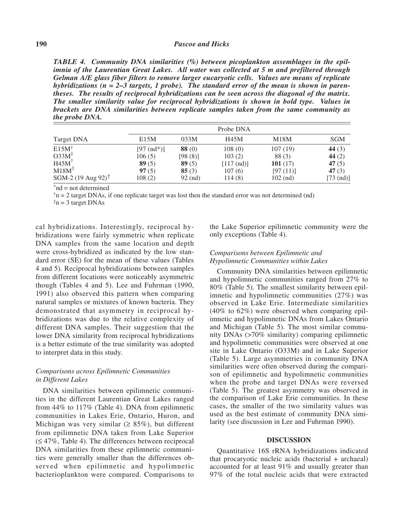# **190** *Pascoe and Hicks*

*TABLE 4. Community DNA similarities (%) between picoplankton assemblages in the epilimnia of the Laurentian Great Lakes. All water was collected at 5 m and prefiltered through Gelman A/E glass fiber filters to remove larger eucaryotic cells. Values are means of replicate hybridizations (n = 2–3 targets, 1 probe). The standard error of the mean is shown in parentheses. The results of reciprocal hybridizations can be seen across the diagonal of the matrix. The smaller similarity value for reciprocal hybridizations is shown in bold type. Values in brackets are DNA similarities between replicate samples taken from the same community as the probe DNA.*

|                                | Probe DNA            |                   |                      |            |                     |  |  |  |  |
|--------------------------------|----------------------|-------------------|----------------------|------------|---------------------|--|--|--|--|
| Target DNA                     | E15M                 | 033M              | H45M                 | M18M       | <b>SGM</b>          |  |  |  |  |
| $E15M^{\dagger}$               | $[97 \text{ (nd*)}]$ | 88(0)             | 108(0)               | 107(19)    | 44 $(3)$            |  |  |  |  |
| $O33M^{\ddagger}$              | 106(5)               | [98(8)]           | 103(2)               | 88(3)      | 44 $(2)$            |  |  |  |  |
| H45M                           | 89(5)                | 89(5)             | $[117 \text{ (nd)}]$ | 101 $(17)$ | 47 $(5)$            |  |  |  |  |
| M18M <sup>‡</sup>              | 97(5)                | 85(3)             | 107(6)               | [97(11)]   | 47 $(3)$            |  |  |  |  |
| SGM-2 (19 Aug 92) <sup>†</sup> | 108(2)               | $92 \text{ (nd)}$ | 114(8)               | $102$ (nd) | $[73 \text{ (nd)}]$ |  |  |  |  |

\*nd = not determined

 $\hat{\tau}$ n = 2 target DNAs, if one replicate target was lost then the standard error was not determined (nd)

 $\pm n = 3$  target DNAs

cal hybridizations. Interestingly, reciprocal hybridizations were fairly symmetric when replicate DNA samples from the same location and depth were cross-hybridized as indicated by the low standard error (SE) for the mean of these values (Tables 4 and 5). Reciprocal hybridizations between samples from different locations were noticeably asymmetric though (Tables 4 and 5). Lee and Fuhrman (1990, 1991) also observed this pattern when comparing natural samples or mixtures of known bacteria. They demonstrated that asymmetry in reciprocal hybridizations was due to the relative complexity of different DNA samples. Their suggestion that the lower DNA similarity from reciprocal hybridizations is a better estimate of the true similarity was adopted to interpret data in this study.

# *Comparisons across Epilimnetic Communities in Different Lakes*

DNA similarities between epilimnetic communities in the different Laurentian Great Lakes ranged from 44% to 117% (Table 4). DNA from epilimnetic communities in Lakes Erie, Ontario, Huron, and Michigan was very similar ( $\geq 85\%$ ), but different from epilimnetic DNA taken from Lake Superior  $(\leq 47\%$ , Table 4). The differences between reciprocal DNA similarities from these epilimnetic communities were generally smaller than the differences observed when epilimnetic and hypolimnetic bacterioplankton were compared. Comparisons to

the Lake Superior epilimnetic community were the only exceptions (Table 4).

# *Comparisons between Epilimnetic and Hypolimnetic Communities within Lakes*

Community DNA similarities between epilimnetic and hypolimnetic communities ranged from 27% to 80% (Table 5). The smallest similarity between epilimnetic and hypolimnetic communities (27%) was observed in Lake Erie. Intermediate similarities (40% to 62%) were observed when comparing epilimnetic and hypolimnetic DNAs from Lakes Ontario and Michigan (Table 5). The most similar community DNAs (>70% similarity) comparing epilimnetic and hypolimnetic communities were observed at one site in Lake Ontario (O33M) and in Lake Superior (Table 5). Large asymmetries in community DNA similarities were often observed during the comparison of epilimnetic and hypolimnetic communities when the probe and target DNAs were reversed (Table 5). The greatest asymmetry was observed in the comparison of Lake Erie communities. In these cases, the smaller of the two similarity values was used as the best estimate of community DNA similarity (see discussion in Lee and Fuhrman 1990).

# **DISCUSSION**

Quantitative 16S rRNA hybridizations indicated that procaryotic nucleic acids (bacterial + archaeal) accounted for at least 91% and usually greater than 97% of the total nucleic acids that were extracted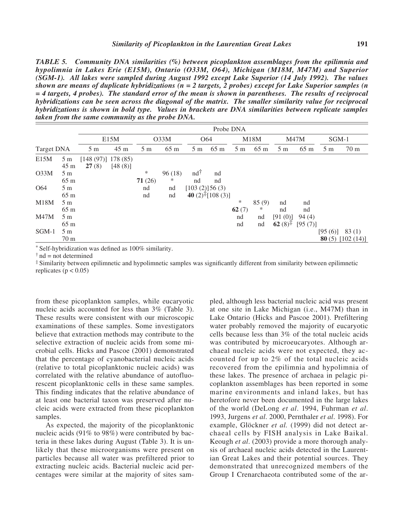*TABLE 5. Community DNA similarities (%) between picoplankton assemblages from the epilimnia and hypolimnia in Lakes Erie (E15M), Ontario (O33M, O64), Michigan (M18M, M47M) and Superior (SGM-1). All lakes were sampled during August 1992 except Lake Superior (14 July 1992). The values shown are means of duplicate hybridizations (n = 2 targets, 2 probes) except for Lake Superior samples (n = 4 targets, 4 probes). The standard error of the mean is shown in parentheses. The results of reciprocal hybridizations can be seen across the diagonal of the matrix. The smaller similarity value for reciprocal hybridizations is shown in bold type. Values in brackets are DNA similarities between replicate samples taken from the same community as the probe DNA.*

|                                             |                                   |                    | Probe DNA           |                |                 |                      |                                                        |                |                |                                  |                  |                |                                                          |
|---------------------------------------------|-----------------------------------|--------------------|---------------------|----------------|-----------------|----------------------|--------------------------------------------------------|----------------|----------------|----------------------------------|------------------|----------------|----------------------------------------------------------|
| E15M<br><b>Target DNA</b><br>5 <sub>m</sub> |                                   |                    | O33M                |                | O <sub>64</sub> |                      | M18M                                                   |                | M47M           |                                  | SGM-1            |                |                                                          |
|                                             |                                   |                    | 45 m                | 5 <sub>m</sub> | $65 \text{ m}$  | 5 <sub>m</sub>       | $65 \text{ m}$                                         | 5 <sub>m</sub> | $65 \text{ m}$ | 5 <sub>m</sub>                   | 65 m             | 5 <sub>m</sub> | 70 <sub>m</sub>                                          |
| E15M                                        | 5 <sub>m</sub><br>45 m            | [148(97)]<br>27(8) | 178 (85)<br>[48(8)] |                |                 |                      |                                                        |                |                |                                  |                  |                |                                                          |
| O33M                                        | 5 <sub>m</sub><br>65 <sub>m</sub> |                    |                     | ∗<br>71(26)    | 96(18)<br>∗     | $nd^{\dagger}$<br>nd | nd<br>nd                                               |                |                |                                  |                  |                |                                                          |
| O <sub>64</sub>                             | 5 <sub>m</sub><br>65 <sub>m</sub> |                    |                     | nd<br>nd       | nd<br>nd        | $[103 (2)]\,56 (3)$  | 40 $(2)$ <sup><math>\ddagger</math></sup> [108 $(3)$ ] |                |                |                                  |                  |                |                                                          |
| M18M                                        | 5 <sub>m</sub><br>$65 \text{ m}$  |                    |                     |                |                 |                      |                                                        | ∗<br>62 $(7)$  | 85(9)<br>∗     | nd<br>nd                         | nd<br>nd         |                |                                                          |
| M47M                                        | 5 <sub>m</sub><br>65 <sub>m</sub> |                    |                     |                |                 |                      |                                                        | nd<br>nd       | nd<br>nd       | [91(0)]<br>62 $(8)$ <sup>T</sup> | 94(4)<br>[95(7)] |                |                                                          |
| SGM-1                                       | 5 <sub>m</sub><br>70 <sub>m</sub> |                    |                     |                |                 |                      |                                                        |                |                |                                  |                  | [95(6)]        | 83(1)<br><b>80</b> (5) $\left[102\left(14\right)\right]$ |

\* Self-hybridization was defined as 100% similarity.

 $\dagger$  nd = not determined

‡ Similarity between epilimnetic and hypolimnetic samples was significantly different from similarity between epilimnetic replicates ( $p < 0.05$ )

from these picoplankton samples, while eucaryotic nucleic acids accounted for less than 3% (Table 3). These results were consistent with our microscopic examinations of these samples. Some investigators believe that extraction methods may contribute to the selective extraction of nucleic acids from some microbial cells. Hicks and Pascoe (2001) demonstrated that the percentage of cyanobacterial nucleic acids (relative to total picoplanktonic nucleic acids) was correlated with the relative abundance of autofluorescent picoplanktonic cells in these same samples. This finding indicates that the relative abundance of at least one bacterial taxon was preserved after nucleic acids were extracted from these picoplankton samples.

As expected, the majority of the picoplanktonic nucleic acids (91% to 98%) were contributed by bacteria in these lakes during August (Table 3). It is unlikely that these microorganisms were present on particles because all water was prefiltered prior to extracting nucleic acids. Bacterial nucleic acid percentages were similar at the majority of sites sampled, although less bacterial nucleic acid was present at one site in Lake Michigan (i.e., M47M) than in Lake Ontario (Hicks and Pascoe 2001). Prefiltering water probably removed the majority of eucaryotic cells because less than 3% of the total nucleic acids was contributed by microeucaryotes. Although archaeal nucleic acids were not expected, they accounted for up to 2% of the total nucleic acids recovered from the epilimnia and hypolimnia of these lakes. The presence of archaea in pelagic picoplankton assemblages has been reported in some marine environments and inland lakes, but has heretofore never been documented in the large lakes of the world (DeLong *et al*. 1994, Fuhrman *et al*. 1993, Jurgens *et al*. 2000, Pernthaler *et al*. 1998). For example, Glöckner *et al.* (1999) did not detect archaeal cells by FISH analysis in Lake Baikal. Keough *et al*. (2003) provide a more thorough analysis of archaeal nucleic acids detected in the Laurentian Great Lakes and their potential sources. They demonstrated that unrecognized members of the Group I Crenarchaeota contributed some of the ar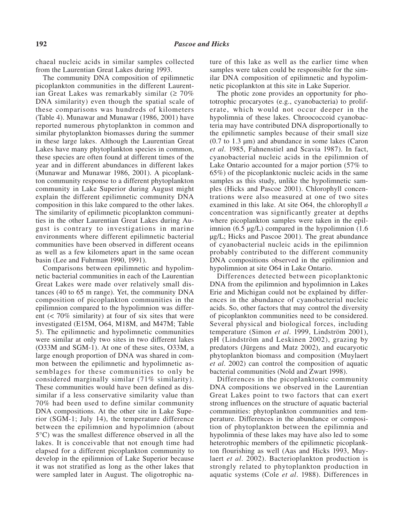chaeal nucleic acids in similar samples collected from the Laurentian Great Lakes during 1993.

The community DNA composition of epilimnetic picoplankton communities in the different Laurentian Great Lakes was remarkably similar  $(≥ 70\%)$ DNA similarity) even though the spatial scale of these comparisons was hundreds of kilometers (Table 4). Munawar and Munawar (1986, 2001) have reported numerous phytoplankton in common and similar phytoplankton biomasses during the summer in these large lakes. Although the Laurentian Great Lakes have many phytoplankton species in common, these species are often found at different times of the year and in different abundances in different lakes (Munawar and Munawar 1986, 2001). A picoplankton community response to a different phytoplankton community in Lake Superior during August might explain the different epilimnetic community DNA composition in this lake compared to the other lakes. The similarity of epilimnetic picoplankton communities in the other Laurentian Great Lakes during August is contrary to investigations in marine environments where different epilimnetic bacterial communities have been observed in different oceans as well as a few kilometers apart in the same ocean basin (Lee and Fuhrman 1990, 1991).

Comparisons between epilimnetic and hypolimnetic bacterial communities in each of the Laurentian Great Lakes were made over relatively small distances (40 to 65 m range). Yet, the community DNA composition of picoplankton communities in the epilimnion compared to the hypolimnion was different (< 70% similarity) at four of six sites that were investigated (E15M, O64, M18M, and M47M; Table 5). The epilimnetic and hypolimnetic communities were similar at only two sites in two different lakes (O33M and SGM-1). At one of these sites, O33M, a large enough proportion of DNA was shared in common between the epilimnetic and hypolimnetic assemblages for these communities to only be considered marginally similar (71% similarity). These communities would have been defined as dissimilar if a less conservative similarity value than 70% had been used to define similar community DNA compositions. At the other site in Lake Superior (SGM-1; July 14), the temperature difference between the epilimnion and hypolimnion (about 5°C) was the smallest difference observed in all the lakes. It is conceivable that not enough time had elapsed for a different picoplankton community to develop in the epilimnion of Lake Superior because it was not stratified as long as the other lakes that were sampled later in August. The oligotrophic nature of this lake as well as the earlier time when samples were taken could be responsible for the similar DNA composition of epilimnetic and hypolimnetic picoplankton at this site in Lake Superior.

The photic zone provides an opportunity for phototrophic procaryotes (e.g., cyanobacteria) to proliferate, which would not occur deeper in the hypolimnia of these lakes. Chroococcoid cyanobacteria may have contributed DNA disproportionally to the epilimnetic samples because of their small size (0.7 to 1.3 µm) and abundance in some lakes (Caron *et al*. 1985, Fahnenstiel and Scavia 1987). In fact, cyanobacterial nucleic acids in the epilimnion of Lake Ontario accounted for a major portion (57% to 65%) of the picoplanktonic nucleic acids in the same samples as this study, unlike the hypolimnetic samples (Hicks and Pascoe 2001). Chlorophyll concentrations were also measured at one of two sites examined in this lake. At site O64, the chlorophyll *a* concentration was significantly greater at depths where picoplankton samples were taken in the epilimnion  $(6.5 \mu g/L)$  compared in the hypolimnion  $(1.6$ µg/L; Hicks and Pascoe 2001). The great abundance of cyanobacterial nucleic acids in the epilimnion probably contributed to the different community DNA compositions observed in the epilimnion and hypolimnion at site O64 in Lake Ontario.

Differences detected between picoplanktonic DNA from the epilimnion and hypolimnion in Lakes Erie and Michigan could not be explained by differences in the abundance of cyanobacterial nucleic acids. So, other factors that may control the diversity of picoplankton communities need to be considered. Several physical and biological forces, including temperature (Simon *et al*. 1999, Lindström 2001), pH (Lindström and Leskinen 2002), grazing by predators (Jürgens and Matz 2002), and eucaryotic phytoplankton biomass and composition (Muylaert *et al*. 2002) can control the composition of aquatic bacterial communities (Nold and Zwart 1998).

Differences in the picoplanktonic community DNA compositions we observed in the Laurentian Great Lakes point to two factors that can exert strong influences on the structure of aquatic bacterial communities: phytoplankton communities and temperature. Differences in the abundance or composition of phytoplankton between the epilimnia and hypolimnia of these lakes may have also led to some heterotrophic members of the epilimnetic picoplankton flourishing as well (Aas and Hicks 1993, Muylaert *et al*. 2002). Bacterioplankton production is strongly related to phytoplankton production in aquatic systems (Cole *et al*. 1988). Differences in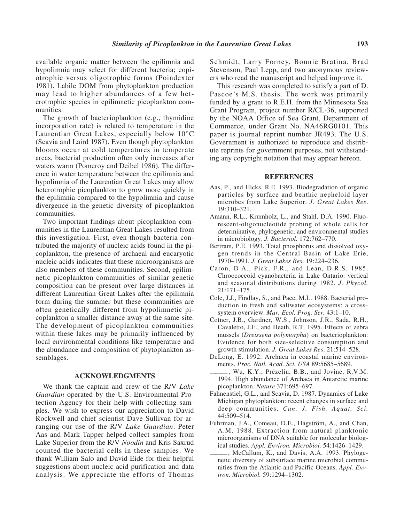available organic matter between the epilimnia and hypolimnia may select for different bacteria; copiotrophic versus oligotrophic forms (Poindexter 1981). Labile DOM from phytoplankton production may lead to higher abundances of a few heterotrophic species in epilimnetic picoplankton communities.

The growth of bacterioplankton (e.g., thymidine incorporation rate) is related to temperature in the Laurentian Great Lakes, especially below 10°C (Scavia and Laird 1987). Even though phytoplankton blooms occur at cold temperatures in temperate areas, bacterial production often only increases after waters warm (Pomeroy and Deibel 1986). The difference in water temperature between the epilimnia and hypolimnia of the Laurentian Great Lakes may allow heterotrophic picoplankton to grow more quickly in the epilimnia compared to the hypolimnia and cause divergence in the genetic diversity of picoplankton communities.

Two important findings about picoplankton communities in the Laurentian Great Lakes resulted from this investigation. First, even though bacteria contributed the majority of nucleic acids found in the picoplankton, the presence of archaeal and eucaryotic nucleic acids indicates that these microorganisms are also members of these communities. Second, epilimnetic picoplankton communities of similar genetic composition can be present over large distances in different Laurentian Great Lakes after the epilimnia form during the summer but these communities are often genetically different from hypolimnetic picoplankton a smaller distance away at the same site. The development of picoplankton communities within these lakes may be primarily influenced by local environmental conditions like temperature and the abundance and composition of phytoplankton assemblages.

## **ACKNOWLEDGMENTS**

We thank the captain and crew of the R/V *Lake Guardian* operated by the U.S. Environmental Protection Agency for their help with collecting samples. We wish to express our appreciation to David Rockwell and chief scientist Dave Sullivan for arranging our use of the R/V *Lake Guardian*. Peter Aas and Mark Tapper helped collect samples from Lake Superior from the R/V *Noodin* and Kris Saxrud counted the bacterial cells in these samples. We thank William Salo and David Eide for their helpful suggestions about nucleic acid purification and data analysis. We appreciate the efforts of Thomas

Schmidt, Larry Forney, Bonnie Bratina, Brad Stevenson, Paul Lepp, and two anonymous reviewers who read the manuscript and helped improve it.

This research was completed to satisfy a part of D. Pascoe's M.S. thesis. The work was primarily funded by a grant to R.E.H. from the Minnesota Sea Grant Program, project number R/CL-36, supported by the NOAA Office of Sea Grant, Department of Commerce, under Grant No. NA46RG0101. This paper is journal reprint number JR493. The U.S. Government is authorized to reproduce and distribute reprints for government purposes, not withstanding any copyright notation that may appear hereon.

#### **REFERENCES**

- Aas, P., and Hicks, R.E. 1993. Biodegradation of organic particles by surface and benthic nepheloid layer microbes from Lake Superior. *J. Great Lakes Res*. 19:310–321.
- Amann, R.L., Krumholz, L., and Stahl, D.A. 1990. Fluorescent-oligonucleotide probing of whole cells for determinative, phylogenetic, and environmental studies in microbiology. *J. Bacteriol.* 172:762–770.
- Bertram, P.E. 1993. Total phosphorus and dissolved oxygen trends in the Central Basin of Lake Erie, 1970–1991. *J. Great Lakes Res*. 19:224–236.
- Caron, D.A., Pick, F.R., and Lean, D.R.S. 1985. Chroococcoid cyanobacteria in Lake Ontario: vertical and seasonal distributions during 1982. *J. Phycol.* 21:171–175.
- Cole, J.J., Findlay, S., and Pace, M.L. 1988. Bacterial production in fresh and saltwater ecosystems: a crosssystem overview. *Mar. Ecol. Prog. Ser.* 43:1–10.
- Cotner, J.B., Gardner, W.S., Johnson, J.R., Sada, R.H., Cavaletto, J.F., and Heath, R.T. 1995. Effects of zebra mussels (*Dreissena polymorpha*) on bacterioplankton: Evidence for both size-selective consumption and growth stimulation. *J. Great Lakes Res*. 21:514–528.
- DeLong, E. 1992. Archaea in coastal marine environments. *Proc. Natl. Acad. Sci. USA* 89:5685–5689.
- ———, Wu, K.Y., Prézelin, B.B., and Jovine, R.V.M. 1994. High abundance of Archaea in Antarctic marine picoplankton. *Nature* 371:695–697.
- Fahnenstiel, G.L., and Scavia, D. 1987. Dynamics of Lake Michigan phytoplankton: recent changes in surface and deep communities. *Can. J. Fish. Aquat. Sci.* 44:509–514.
- Fuhrman, J.A., Comeau, D.E., Hagström, A., and Chan, A.M. 1988. Extraction from natural planktonic microorganisms of DNA suitable for molecular biological studies. *Appl. Environ. Microbiol.* 54:1426–1429.
- $-$ , McCallum, K., and Davis, A.A. 1993. Phylogenetic diversity of subsurface marine microbial communities from the Atlantic and Pacific Oceans. *Appl. Environ. Microbiol.* 59:1294–1302.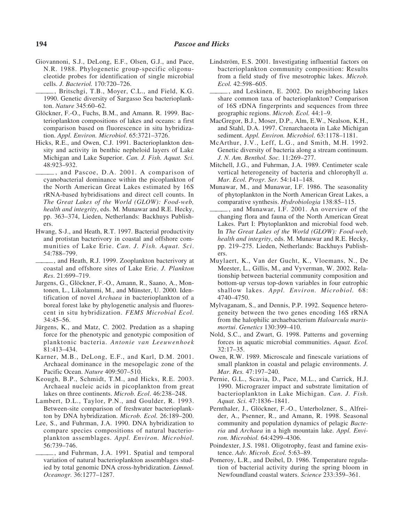- Giovannoni, S.J., DeLong, E.F., Olsen, G.J., and Pace, N.R. 1988. Phylogenetic group-specific oligonucleotide probes for identification of single microbial cells. *J. Bacteriol.* 170:720–726.
- ., Britschgi, T.B., Moyer, C.L., and Field, K.G. 1990. Genetic diversity of Sargasso Sea bacterioplankton. *Nature* 345:60–62.
- Glöckner, F.-O., Fuchs, B.M., and Amann. R. 1999. Bacterioplankton compositions of lakes and oceans: a first comparison based on fluorescence in situ hybridization. *Appl. Environ. Microbiol*. 65:3721–3726.
- Hicks, R.E., and Owen, C.J. 1991. Bacterioplankton density and activity in benthic nepheloid layers of Lake Michigan and Lake Superior. *Can. J. Fish. Aquat. Sci.* 48:923–932.
- ——— , and Pascoe, D.A. 2001. A comparison of cyanobacterial dominance within the picoplankton of the North American Great Lakes estimated by 16S rRNA-based hybridisations and direct cell counts. In *The Great Lakes of the World (GLOW): Food-web, health and integrity*, eds. M. Munawar and R.E. Hecky, pp. 363–374, Lieden, Netherlands: Backhuys Publishers.
- Hwang, S-J., and Heath, R.T. 1997. Bacterial productivity and protistan bacterivory in coastal and offshore communities of Lake Erie. *Can. J. Fish. Aquat. Sci*. 54:788–799.
- ———, and Heath, R.J. 1999. Zooplankton bacterivory at coastal and offshore sites of Lake Erie. *J. Plankton Res*. 21:699–719.
- Jurgens, G., Glöckner, F.-O., Amann, R., Saano, A., Montonen, L., Likolammi, M., and Münster, U. 2000. Identification of novel *Archaea* in bacterioplankton of a boreal forest lake by phylogenetic analysis and fluorescent in situ hybridization. *FEMS Microbial Ecol.* 34:45–56.
- Jürgens, K., and Matz, C. 2002. Predation as a shaping force for the phenotypic and genotypic composition of planktonic bacteria. *Antonie van Leeuwenhoek* 81:413–434.
- Karner, M.B., DeLong, E.F., and Karl, D.M. 2001. Archaeal dominance in the mesopelagic zone of the Pacific Ocean. *Nature* 409:507–510.
- Keough, B.P., Schmidt, T.M., and Hicks, R.E. 2003. Archaeal nucleic acids in picoplankton from great lakes on three continents. *Microb. Ecol*. 46:238–248.
- Lambert, D.L., Taylor, P.N., and Goulder, R. 1993. Between-site comparison of freshwater bacterioplankton by DNA hybridization. *Microb. Ecol.* 26:189–200.
- Lee, S., and Fuhrman, J.A. 1990. DNA hybridization to compare species compositions of natural bacterioplankton assemblages. *Appl. Environ. Microbiol.* 56:739–746.
	- $-$ , and Fuhrman, J.A. 1991. Spatial and temporal variation of natural bacterioplankton assemblages studied by total genomic DNA cross-hybridization. *Limnol. Oceanogr.* 36:1277–1287.
- Lindström, E.S. 2001. Investigating influential factors on bacterioplankton community composition: Results from a field study of five mesotrophic lakes. *Microb. Ecol.* 42:598–605.
- $-$ , and Leskinen, E. 2002. Do neighboring lakes share common taxa of bacterioplankton? Comparison of 16S rDNA fingerprints and sequences from three geographic regions. *Microb. Ecol.* 44:1–9.
- MacGregor, B.J., Moser, D.P., Alm, E.W., Nealson, K.H., and Stahl, D.A. 1997. Crenarchaeota in Lake Michigan sediment. *Appl. Environ. Microbiol*. 63:1178–1181.
- McArthur, J.V., Leff, L.G., and Smith, M.H. 1992. Genetic diversity of bacteria along a stream continuum. *J. N. Am. Benthol. Soc.* 11:269–277.
- Mitchell, J.G., and Fuhrman, J.A. 1989. Centimeter scale vertical heterogeneity of bacteria and chlorophyll *a*. *Mar. Ecol. Progr. Ser.* 54:141–148.
- Munawar, M., and Munawar, I.F. 1986. The seasonality of phytoplankton in the North American Great Lakes, a comparative synthesis. *Hydrobiologia* 138:85–115.
- , and Munawar, I.F. 2001. An overview of the changing flora and fauna of the North American Great Lakes. Part I: Phytoplankton and microbial food web. In *The Great Lakes of the World (GLOW): Food-web, health and integrity*, eds. M. Munawar and R.E. Hecky, pp. 219–275. Lieden, Netherlands: Backhuys Publishers.
- Muylaert, K., Van der Gucht, K., Vloemans, N., De Meester, L., Gillis, M., and Vyverman, W. 2002. Relationship between bacterial community composition and bottom-up versus top-down variables in four eutrophic shallow lakes. *Appl. Environ. Microbiol.* 68: 4740–4750.
- Mylvaganam, S., and Dennis, P.P. 1992. Sequence heterogeneity between the two genes encoding 16S rRNA from the halophilic archaebacterium *Haloarcula marismortui*. *Genetics* 130:399–410.
- Nold, S.C., and Zwart, G. 1998. Patterns and governing forces in aquatic microbial communities. *Aquat. Ecol.* 32:17–35.
- Owen, R.W. 1989. Microscale and finescale variations of small plankton in coastal and pelagic environments. *J. Mar. Res.* 47:197–240.
- Pernie, G.L., Scavia, D., Pace, M.L., and Carrick, H.J. 1990. Micrograzer impact and substrate limitation of bacterioplankton in Lake Michigan. *Can. J. Fish. Aquat. Sci.* 47:1836–1841.
- Pernthaler, J., Glöckner, F.-O., Unterholzner, S., Alfreider, A., Psenner, R., and Amann, R. 1998. Seasonal community and population dynamics of pelagic *Bacteria* and *Archaea* in a high mountain lake. *Appl. Environ. Microbiol.* 64:4299–4306.
- Poindexter, J.S. 1981. Oligotrophy, feast and famine existence. *Adv. Microb. Ecol.* 5:63–89.
- Pomeroy, L.R., and Deibel, D. 1986. Temperature regulation of bacterial activity during the spring bloom in Newfoundland coastal waters. *Science* 233:359–361.